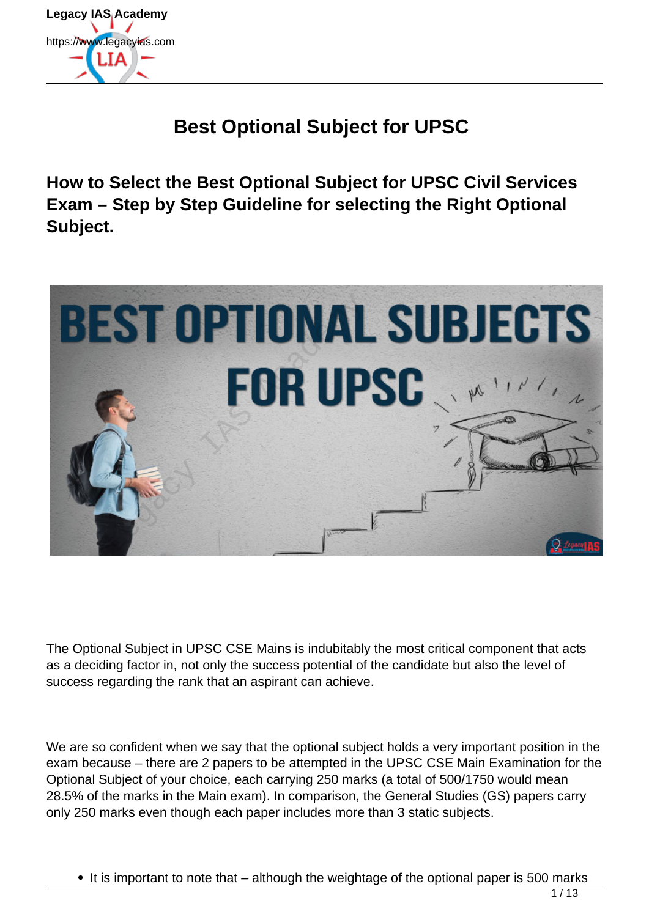

## **Best Optional Subject for UPSC**

**How to Select the Best Optional Subject for UPSC Civil Services Exam – Step by Step Guideline for selecting the Right Optional Subject.**



The Optional Subject in UPSC CSE Mains is indubitably the most critical component that acts as a deciding factor in, not only the success potential of the candidate but also the level of success regarding the rank that an aspirant can achieve.

We are so confident when we say that the optional subject holds a very important position in the exam because – there are 2 papers to be attempted in the UPSC CSE Main Examination for the Optional Subject of your choice, each carrying 250 marks (a total of 500/1750 would mean 28.5% of the marks in the Main exam). In comparison, the General Studies (GS) papers carry only 250 marks even though each paper includes more than 3 static subjects.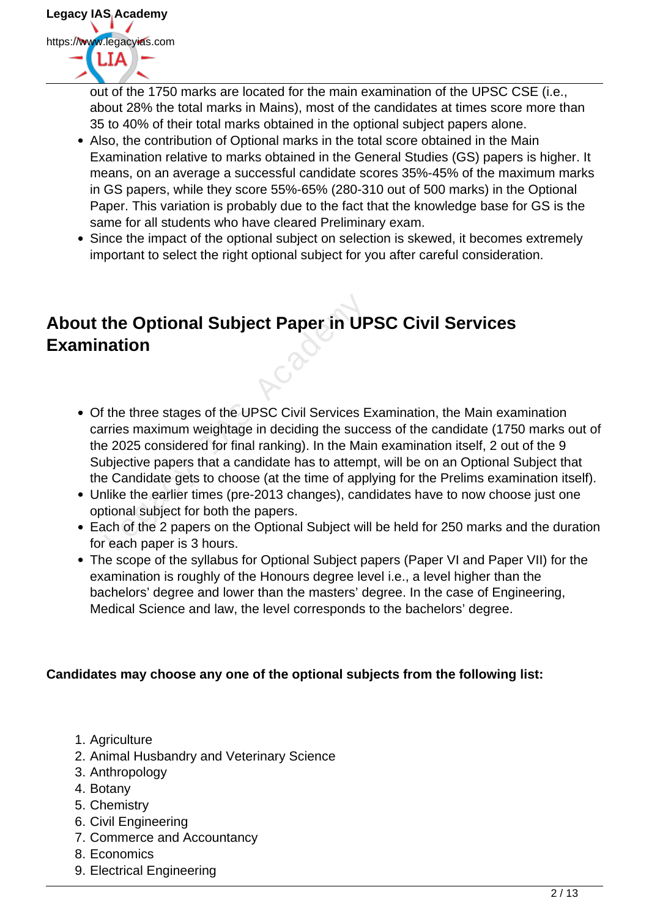

out of the 1750 marks are located for the main examination of the UPSC CSE (i.e., about 28% the total marks in Mains), most of the candidates at times score more than 35 to 40% of their total marks obtained in the optional subject papers alone.

- Also, the contribution of Optional marks in the total score obtained in the Main Examination relative to marks obtained in the General Studies (GS) papers is higher. It means, on an average a successful candidate scores 35%-45% of the maximum marks in GS papers, while they score 55%-65% (280-310 out of 500 marks) in the Optional Paper. This variation is probably due to the fact that the knowledge base for GS is the same for all students who have cleared Preliminary exam.
- Since the impact of the optional subject on selection is skewed, it becomes extremely important to select the right optional subject for you after careful consideration.

## **About the Optional Subject Paper in UPSC Civil Services Examination**

- Of the three stages of the UPSC Civil Services Examination, the Main examination carries maximum weightage in deciding the success of the candidate (1750 marks out of the 2025 considered for final ranking). In the Main examination itself, 2 out of the 9 Subjective papers that a candidate has to attempt, will be on an Optional Subject that the Candidate gets to choose (at the time of applying for the Prelims examination itself). the Optional Subject Paper in UP<br>
nation<br>
the three stages of the UPSC Civil Services E<br>
rries maximum weightage in deciding the succe<br>
a 2025 considered for final ranking). In the Mai<br>
ubjective papers that a candidate ha
- Unlike the earlier times (pre-2013 changes), candidates have to now choose just one optional subject for both the papers.
- Each of the 2 papers on the Optional Subject will be held for 250 marks and the duration for each paper is 3 hours.
- The scope of the syllabus for Optional Subject papers (Paper VI and Paper VII) for the examination is roughly of the Honours degree level i.e., a level higher than the bachelors' degree and lower than the masters' degree. In the case of Engineering, Medical Science and law, the level corresponds to the bachelors' degree.

#### **Candidates may choose any one of the optional subjects from the following list:**

- 1. Agriculture
- 2. Animal Husbandry and Veterinary Science
- 3. Anthropology
- 4. Botany
- 5. Chemistry
- 6. Civil Engineering
- 7. Commerce and Accountancy
- 8. Economics
- 9. Electrical Engineering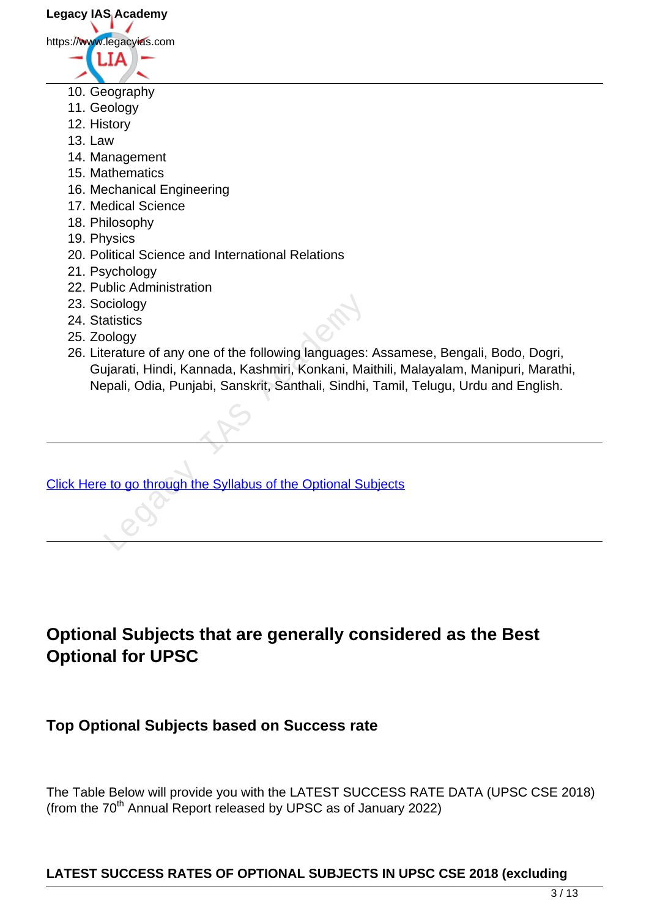**Legacy IAS Academy** https://www.legacyias.com

- 
- 10. Geography
- 11. Geology
- 12. History
- 13. Law
- 14. Management
- 15. Mathematics
- 16. Mechanical Engineering
- 17. Medical Science
- 18. Philosophy
- 19. Physics
- 20. Political Science and International Relations
- 21. Psychology
- 22. Public Administration
- 23. Sociology
- 24. Statistics
- 25. Zoology
- 26. Literature of any one of the following languages: Assamese, Bengali, Bodo, Dogri, Gujarati, Hindi, Kannada, Kashmiri, Konkani, Maithili, Malayalam, Manipuri, Marathi, Nepali, Odia, Punjabi, Sanskrit, Santhali, Sindhi, Tamil, Telugu, Urdu and English. ociology<br>
atistics<br>
ology<br>
erature of any one of the following languages:<br>
ujarati, Hindi, Kannada, Kashmiri, Konkani, Ma<br>
epali, Odia, Punjabi, Sanskrit, Santhali, Sindhi,<br>
epali, Odia, Punjabi, Sanskrit, Santhali, Sindhi

[Click Here to go through the Syllabus of the Optional Subjects](https://www.legacyias.com/optionals-syllabus/)

## **Optional Subjects that are generally considered as the Best Optional for UPSC**

## **Top Optional Subjects based on Success rate**

The Table Below will provide you with the LATEST SUCCESS RATE DATA (UPSC CSE 2018) (from the  $70<sup>th</sup>$  Annual Report released by UPSC as of January 2022)

## **LATEST SUCCESS RATES OF OPTIONAL SUBJECTS IN UPSC CSE 2018 (excluding**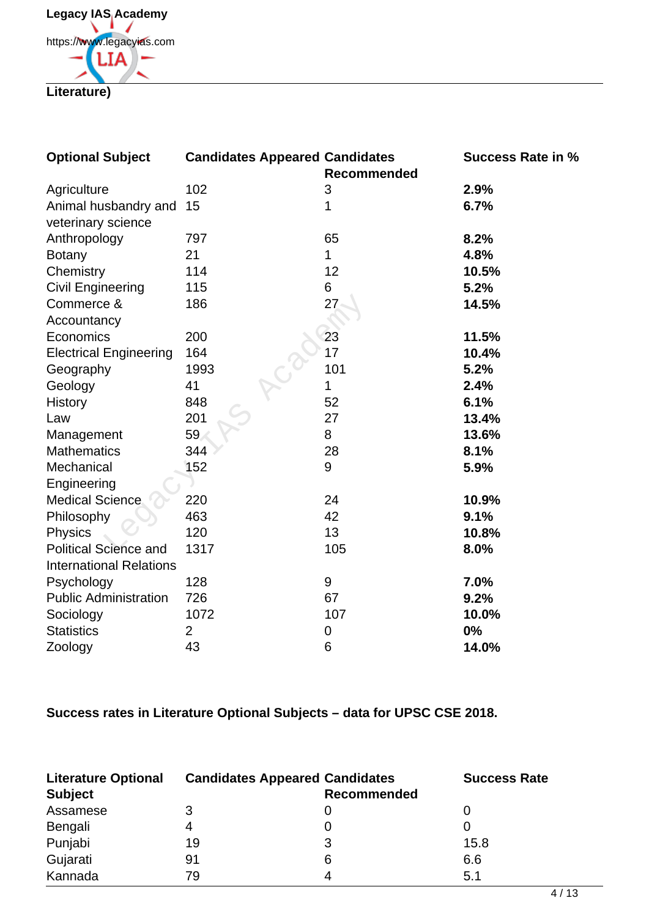**Legacy IAS Academy** https://www.legacyias.com **LIA Literature)**

| <b>Optional Subject</b>        | <b>Candidates Appeared Candidates</b> | <b>Recommended</b> | <b>Success Rate in %</b> |
|--------------------------------|---------------------------------------|--------------------|--------------------------|
| Agriculture                    | 102                                   | 3                  | 2.9%                     |
| Animal husbandry and           | 15                                    | 1                  | 6.7%                     |
| veterinary science             |                                       |                    |                          |
| Anthropology                   | 797                                   | 65                 | 8.2%                     |
| <b>Botany</b>                  | 21                                    | 1                  | 4.8%                     |
| Chemistry                      | 114                                   | 12                 | 10.5%                    |
| <b>Civil Engineering</b>       | 115                                   | 6                  | 5.2%                     |
| Commerce &                     | 186                                   | 27                 | 14.5%                    |
| Accountancy                    |                                       |                    |                          |
| Economics                      | 200                                   | 23                 | 11.5%                    |
| <b>Electrical Engineering</b>  | 164                                   | 17                 | 10.4%                    |
| Geography                      | 1993                                  | 101                | 5.2%                     |
| Geology                        | 41                                    | 1                  | 2.4%                     |
| History                        | 848                                   | 52                 | 6.1%                     |
| Law                            | 201                                   | 27                 | 13.4%                    |
| Management                     | 59                                    | 8                  | 13.6%                    |
| <b>Mathematics</b>             | 344                                   | 28                 | 8.1%                     |
| Mechanical                     | 152                                   | 9                  | 5.9%                     |
| Engineering                    |                                       |                    |                          |
| <b>Medical Science</b>         | 220                                   | 24                 | 10.9%                    |
| Philosophy                     | 463                                   | 42                 | 9.1%                     |
| <b>Physics</b>                 | 120                                   | 13                 | 10.8%                    |
| <b>Political Science and</b>   | 1317                                  | 105                | 8.0%                     |
| <b>International Relations</b> |                                       |                    |                          |
| Psychology                     | 128                                   | 9                  | 7.0%                     |
| <b>Public Administration</b>   | 726                                   | 67                 | 9.2%                     |
| Sociology                      | 1072                                  | 107                | 10.0%                    |
| <b>Statistics</b>              | $\overline{2}$                        | 0                  | 0%                       |
| Zoology                        | 43                                    | 6                  | 14.0%                    |

**Success rates in Literature Optional Subjects – data for UPSC CSE 2018.**

| <b>Literature Optional</b><br><b>Subject</b> | <b>Candidates Appeared Candidates</b> | <b>Recommended</b> | <b>Success Rate</b> |
|----------------------------------------------|---------------------------------------|--------------------|---------------------|
| Assamese                                     |                                       |                    |                     |
| Bengali                                      | 4                                     |                    |                     |
| Punjabi                                      | 19                                    |                    | 15.8                |
| Gujarati                                     | 91                                    | 6                  | 6.6                 |
| Kannada                                      | 79                                    |                    | 5.1                 |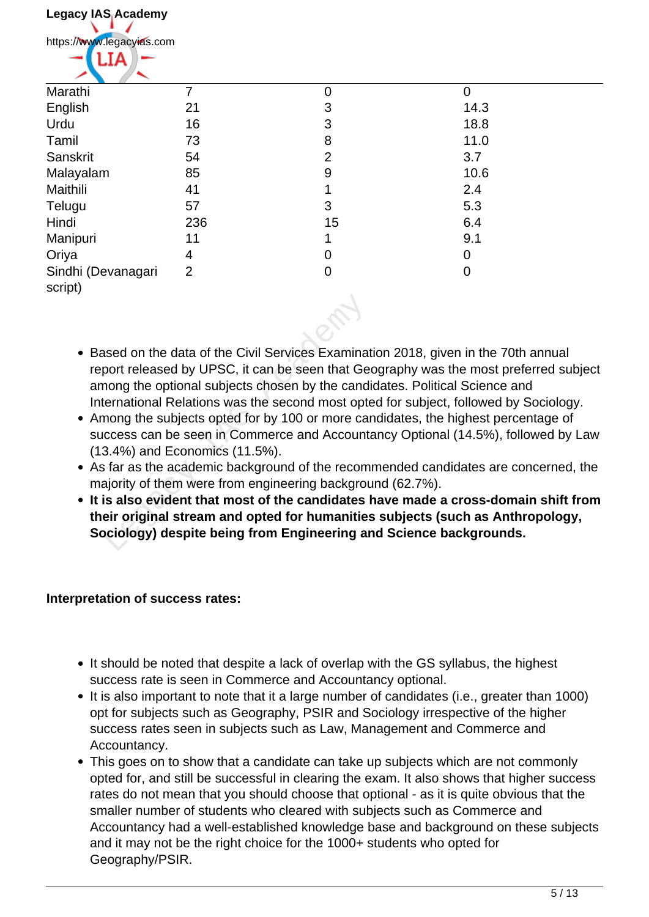| Legacy IAS Academy            |                |                |             |
|-------------------------------|----------------|----------------|-------------|
| https://www.legacyias.com     |                |                |             |
| ٦I.                           |                |                |             |
| Marathi                       |                | $\Omega$       | $\mathbf 0$ |
| English                       | 21             | 3              | 14.3        |
| Urdu                          | 16             | 3              | 18.8        |
| Tamil                         | 73             | 8              | 11.0        |
| Sanskrit                      | 54             | 2              | 3.7         |
| Malayalam                     | 85             | 9              | 10.6        |
| Maithili                      | 41             |                | 2.4         |
| Telugu                        | 57             | 3              | 5.3         |
| Hindi                         | 236            | 15             | 6.4         |
| Manipuri                      | 11             |                | 9.1         |
| Oriya                         | 4              | 0              | $\mathbf 0$ |
| Sindhi (Devanagari<br>script) | $\overline{2}$ | $\overline{0}$ | $\mathbf 0$ |

- Based on the data of the Civil Services Examination 2018, given in the 70th annual report released by UPSC, it can be seen that Geography was the most preferred subject among the optional subjects chosen by the candidates. Political Science and International Relations was the second most opted for subject, followed by Sociology. sed on the data of the Civil Services Examination<br>port released by UPSC, it can be seen that Ge<br>nong the optional subjects chosen by the cand<br>ernational Relations was the second most option<br>mong the subjects opted for by 1
- Among the subjects opted for by 100 or more candidates, the highest percentage of success can be seen in Commerce and Accountancy Optional (14.5%), followed by Law (13.4%) and Economics (11.5%).
- As far as the academic background of the recommended candidates are concerned, the majority of them were from engineering background (62.7%).
- **It is also evident that most of the candidates have made a cross-domain shift from their original stream and opted for humanities subjects (such as Anthropology, Sociology) despite being from Engineering and Science backgrounds.**

#### **Interpretation of success rates:**

- It should be noted that despite a lack of overlap with the GS syllabus, the highest success rate is seen in Commerce and Accountancy optional.
- It is also important to note that it a large number of candidates (i.e., greater than 1000) opt for subjects such as Geography, PSIR and Sociology irrespective of the higher success rates seen in subjects such as Law, Management and Commerce and Accountancy.
- This goes on to show that a candidate can take up subjects which are not commonly opted for, and still be successful in clearing the exam. It also shows that higher success rates do not mean that you should choose that optional - as it is quite obvious that the smaller number of students who cleared with subjects such as Commerce and Accountancy had a well-established knowledge base and background on these subjects and it may not be the right choice for the 1000+ students who opted for Geography/PSIR.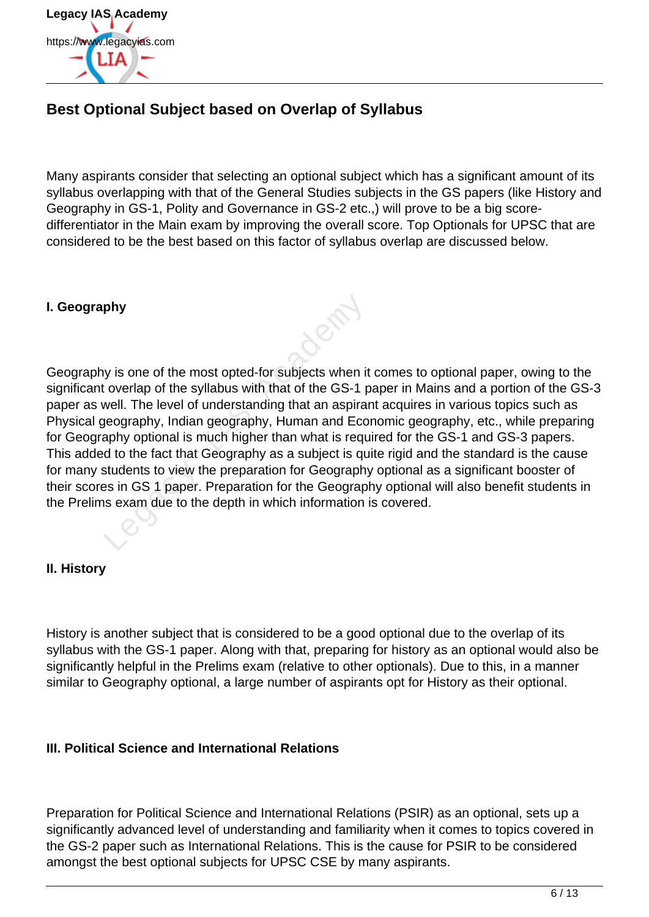

### **Best Optional Subject based on Overlap of Syllabus**

Many aspirants consider that selecting an optional subject which has a significant amount of its syllabus overlapping with that of the General Studies subjects in the GS papers (like History and Geography in GS-1, Polity and Governance in GS-2 etc.,) will prove to be a big scoredifferentiator in the Main exam by improving the overall score. Top Optionals for UPSC that are considered to be the best based on this factor of syllabus overlap are discussed below.

#### **I. Geography**

Geography is one of the most opted-for subjects when it comes to optional paper, owing to the significant overlap of the syllabus with that of the GS-1 paper in Mains and a portion of the GS-3 paper as well. The level of understanding that an aspirant acquires in various topics such as Physical geography, Indian geography, Human and Economic geography, etc., while preparing for Geography optional is much higher than what is required for the GS-1 and GS-3 papers. This added to the fact that Geography as a subject is quite rigid and the standard is the cause for many students to view the preparation for Geography optional as a significant booster of their scores in GS 1 paper. Preparation for the Geography optional will also benefit students in the Prelims exam due to the depth in which information is covered. phy<br>
y is one of the most opted-for subjects when it<br>
coverlap of the syllabus with that of the GS-1 p<br>
well. The level of understanding that an aspirar<br>
yeography, Indian geography, Human and Eco<br>
aphy optional is much hi

#### **II. History**

History is another subject that is considered to be a good optional due to the overlap of its syllabus with the GS-1 paper. Along with that, preparing for history as an optional would also be significantly helpful in the Prelims exam (relative to other optionals). Due to this, in a manner similar to Geography optional, a large number of aspirants opt for History as their optional.

#### **III. Political Science and International Relations**

Preparation for Political Science and International Relations (PSIR) as an optional, sets up a significantly advanced level of understanding and familiarity when it comes to topics covered in the GS-2 paper such as International Relations. This is the cause for PSIR to be considered amongst the best optional subjects for UPSC CSE by many aspirants.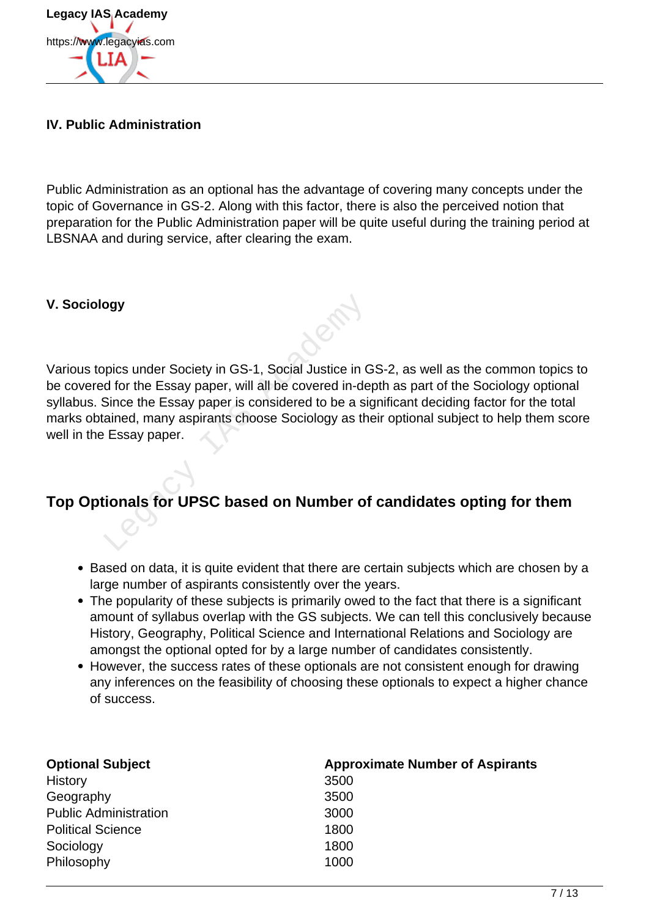

#### **IV. Public Administration**

Public Administration as an optional has the advantage of covering many concepts under the topic of Governance in GS-2. Along with this factor, there is also the perceived notion that preparation for the Public Administration paper will be quite useful during the training period at LBSNAA and during service, after clearing the exam.

#### **V. Sociology**

Various topics under Society in GS-1, Social Justice in GS-2, as well as the common topics to be covered for the Essay paper, will all be covered in-depth as part of the Sociology optional syllabus. Since the Essay paper is considered to be a significant deciding factor for the total marks obtained, many aspirants choose Sociology as their optional subject to help them score well in the Essay paper. pics under Society in GS-1, Social Justice in C<br>d for the Essay paper, will all be covered in-de<br>Since the Essay paper is considered to be a signal<br>ained, many aspirants choose Sociology as the<br>Essay paper.<br>**Consider the S** 

### **Top Optionals for UPSC based on Number of candidates opting for them**

- Based on data, it is quite evident that there are certain subjects which are chosen by a large number of aspirants consistently over the years.
- The popularity of these subjects is primarily owed to the fact that there is a significant amount of syllabus overlap with the GS subjects. We can tell this conclusively because History, Geography, Political Science and International Relations and Sociology are amongst the optional opted for by a large number of candidates consistently.
- However, the success rates of these optionals are not consistent enough for drawing any inferences on the feasibility of choosing these optionals to expect a higher chance of success.

| <b>Optional Subject</b>      | <b>Approximate Number of Aspirants</b> |
|------------------------------|----------------------------------------|
| History                      | 3500                                   |
| Geography                    | 3500                                   |
| <b>Public Administration</b> | 3000                                   |
| <b>Political Science</b>     | 1800                                   |
| Sociology                    | 1800                                   |
| Philosophy                   | 1000                                   |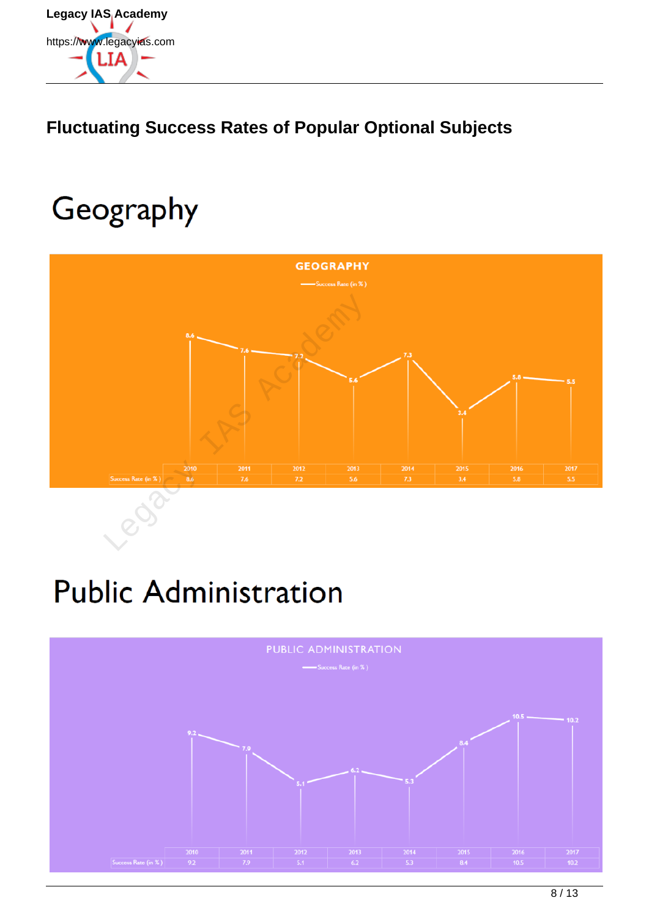

## **Fluctuating Success Rates of Popular Optional Subjects**

# Geography



# **Public Administration**

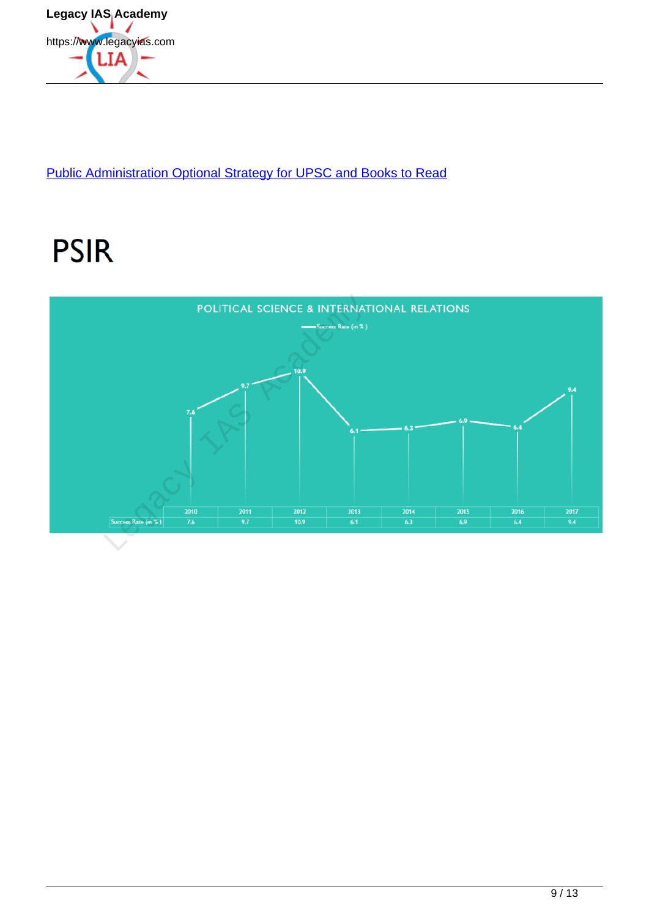

Public Administration Optional Strategy for UPSC and Books to Read

# **PSIR**

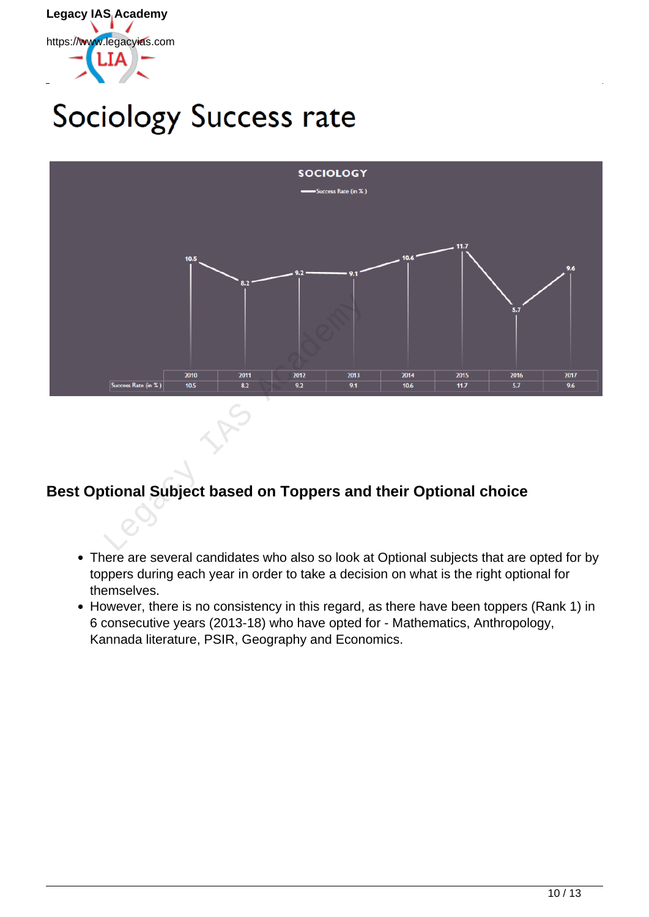

# Sociology Success rate



## **Best Optional Subject based on Toppers and their Optional choice**

- There are several candidates who also so look at Optional subjects that are opted for by toppers during each year in order to take a decision on what is the right optional for themselves.
- However, there is no consistency in this regard, as there have been toppers (Rank 1) in 6 consecutive years (2013-18) who have opted for - Mathematics, Anthropology, Kannada literature, PSIR, Geography and Economics.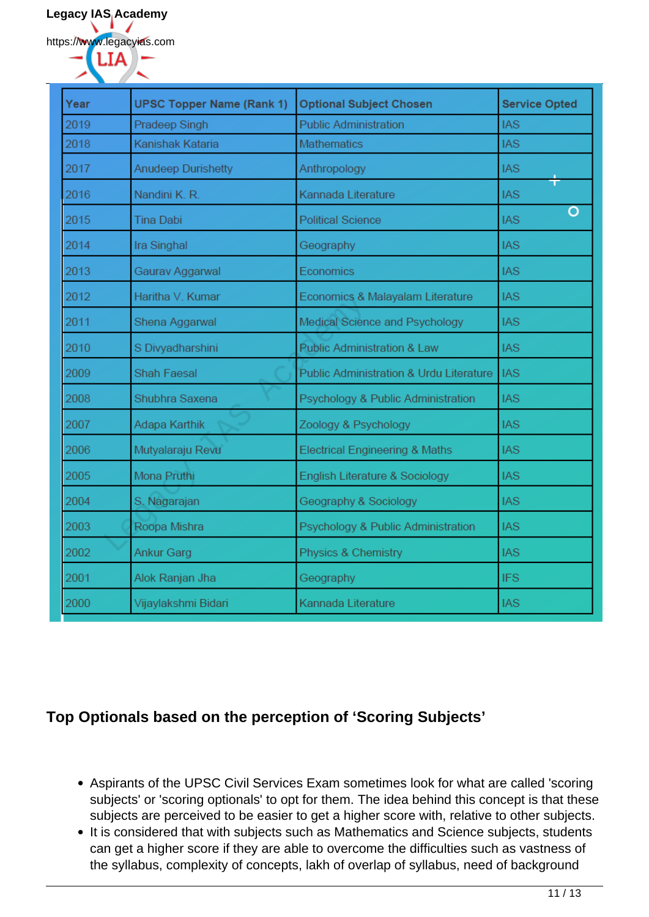https://www.legacyias.com

| Year | <b>UPSC Topper Name (Rank 1)</b> | <b>Optional Subject Chosen</b>            | <b>Service Opted</b> |
|------|----------------------------------|-------------------------------------------|----------------------|
| 2019 | Pradeep Singh                    | <b>Public Administration</b>              | <b>IAS</b>           |
| 2018 | Kanishak Kataria                 | <b>Mathematics</b>                        | <b>IAS</b>           |
| 2017 | <b>Anudeep Durishetty</b>        | Anthropology                              | <b>IAS</b>           |
| 2016 | Nandini K. R.                    | Kannada Literature                        | <b>IAS</b>           |
| 2015 | <b>Tina Dabi</b>                 | <b>Political Science</b>                  | O<br><b>IAS</b>      |
| 2014 | Ira Singhal                      | Geography                                 | <b>IAS</b>           |
| 2013 | Gaurav Aggarwal                  | Economics                                 | <b>IAS</b>           |
| 2012 | Haritha V. Kumar                 | Economics & Malayalam Literature          | <b>IAS</b>           |
| 2011 | Shena Aggarwal                   | Medical Science and Psychology            | <b>IAS</b>           |
| 2010 | S Divyadharshini                 | <b>Public Administration &amp; Law</b>    | <b>IAS</b>           |
| 2009 | <b>Shah Faesal</b>               | Public Administration & Urdu Literature   | <b>IAS</b>           |
| 2008 | Shubhra Saxena                   | Psychology & Public Administration        | <b>IAS</b>           |
| 2007 | Adapa Karthik                    | Zoology & Psychology                      | <b>IAS</b>           |
| 2006 | Mutyalaraju Revu                 | <b>Electrical Engineering &amp; Maths</b> | <b>IAS</b>           |
| 2005 | Mona Pruthi                      | English Literature & Sociology            | <b>IAS</b>           |
| 2004 | S. Nagarajan                     | Geography & Sociology                     | <b>IAS</b>           |
| 2003 | Roopa Mishra                     | Psychology & Public Administration        | <b>IAS</b>           |
| 2002 | Ankur Garg                       | Physics & Chemistry                       | <b>IAS</b>           |
| 2001 | Alok Ranjan Jha                  | Geography                                 | <b>IFS</b>           |
| 2000 | Vijaylakshmi Bidari              | Kannada Literature                        | <b>IAS</b>           |

### **Top Optionals based on the perception of 'Scoring Subjects'**

- Aspirants of the UPSC Civil Services Exam sometimes look for what are called 'scoring subjects' or 'scoring optionals' to opt for them. The idea behind this concept is that these subjects are perceived to be easier to get a higher score with, relative to other subjects.
- It is considered that with subjects such as Mathematics and Science subjects, students can get a higher score if they are able to overcome the difficulties such as vastness of the syllabus, complexity of concepts, lakh of overlap of syllabus, need of background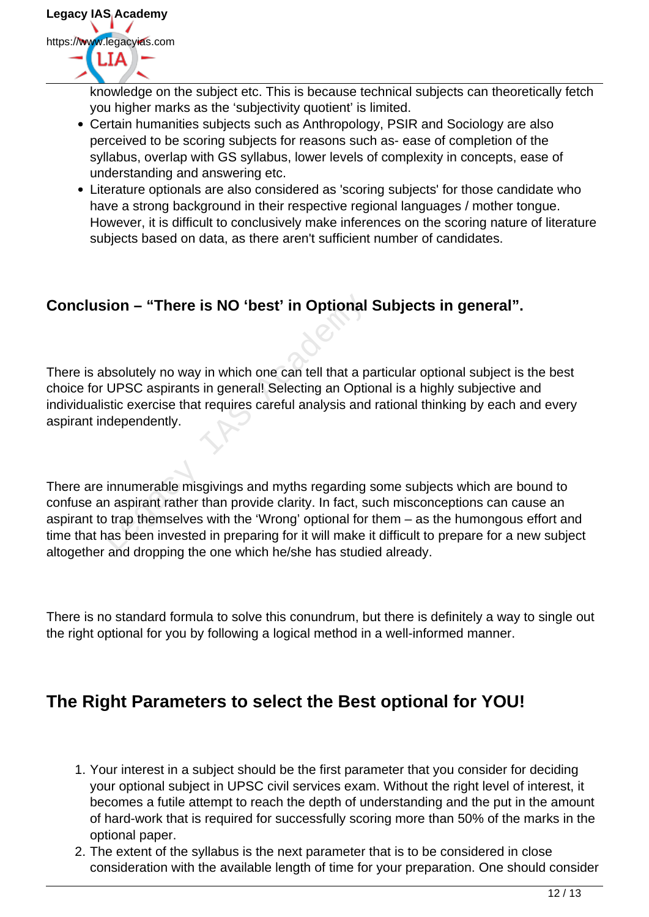

knowledge on the subject etc. This is because technical subjects can theoretically fetch you higher marks as the 'subjectivity quotient' is limited.

- Certain humanities subjects such as Anthropology, PSIR and Sociology are also perceived to be scoring subjects for reasons such as- ease of completion of the syllabus, overlap with GS syllabus, lower levels of complexity in concepts, ease of understanding and answering etc.
- Literature optionals are also considered as 'scoring subjects' for those candidate who have a strong background in their respective regional languages / mother tongue. However, it is difficult to conclusively make inferences on the scoring nature of literature subjects based on data, as there aren't sufficient number of candidates.

### **Conclusion – "There is NO 'best' in Optional Subjects in general".**

There is absolutely no way in which one can tell that a particular optional subject is the best choice for UPSC aspirants in general! Selecting an Optional is a highly subjective and individualistic exercise that requires careful analysis and rational thinking by each and every aspirant independently.

There are innumerable misgivings and myths regarding some subjects which are bound to confuse an aspirant rather than provide clarity. In fact, such misconceptions can cause an aspirant to trap themselves with the 'Wrong' optional for them – as the humongous effort and time that has been invested in preparing for it will make it difficult to prepare for a new subject altogether and dropping the one which he/she has studied already. **Sion – "There is NO 'best' in Optional**<br>bsolutely no way in which one can tell that a p<br>UPSC aspirants in general! Selecting an Optic<br>stic exercise that requires careful analysis and<br>independently.<br>immumerable misgivings

There is no standard formula to solve this conundrum, but there is definitely a way to single out the right optional for you by following a logical method in a well-informed manner.

## **The Right Parameters to select the Best optional for YOU!**

- 1. Your interest in a subject should be the first parameter that you consider for deciding your optional subject in UPSC civil services exam. Without the right level of interest, it becomes a futile attempt to reach the depth of understanding and the put in the amount of hard-work that is required for successfully scoring more than 50% of the marks in the optional paper.
- 2. The extent of the syllabus is the next parameter that is to be considered in close consideration with the available length of time for your preparation. One should consider